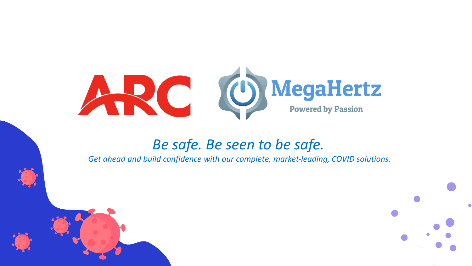

### *Be safe. Be seen to be safe.*

*Get ahead and build confidence with our complete, market-leading, COVID solutions.*

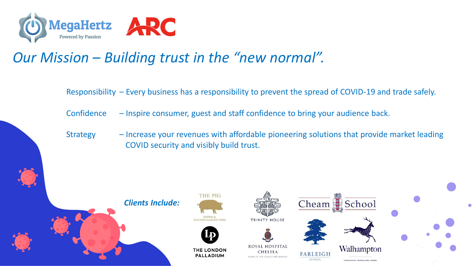

## *Our Mission – Building trust in the "new normal".*

Responsibility – Every business has a responsibility to prevent the spread of COVID-19 and trade safely.

Confidence – Inspire consumer, guest and staff confidence to bring your audience back.

Strategy – Increase your revenues with affordable pioneering solutions that provide market leading COVID security and visibly build trust.

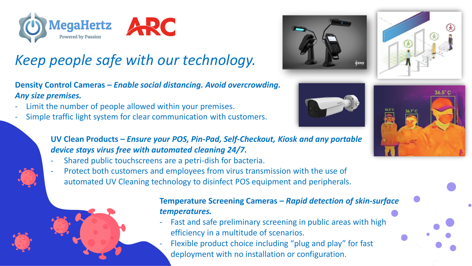

# *Keep people safe with our technology.*

**Density Control Cameras –** *Enable social distancing. Avoid overcrowding. Any size premises.* 

- Limit the number of people allowed within your premises.
- Simple traffic light system for clear communication with customers.



- Shared public touchscreens are a petri-dish for bacteria.
- Protect both customers and employees from virus transmission with the use of automated UV Cleaning technology to disinfect POS equipment and peripherals.



#### **Temperature Screening Cameras –** *Rapid detection of skin-surface temperatures.*

- Fast and safe preliminary screening in public areas with high efficiency in a multitude of scenarios.
- Flexible product choice including "plug and play" for fast deployment with no installation or configuration.







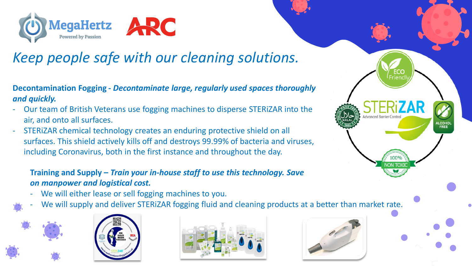



## *Keep people safe with our cleaning solutions.*

**Decontamination Fogging -** *Decontaminate large, regularly used spaces thoroughly and quickly.*

- Our team of British Veterans use fogging machines to disperse STERiZAR into the air, and onto all surfaces.
- STERiZAR chemical technology creates an enduring protective shield on all surfaces. This shield actively kills off and destroys 99.99% of bacteria and viruses, including Coronavirus, both in the first instance and throughout the day.

#### **Training and Supply –** *Train your in-house staff to use this technology. Save money on manpower and logistical cost.*

- We will either lease or sell fogging machines to you.
- We will supply and deliver STERiZAR fogging fluid and cleaning products at a better than market rate.







dvanced Barrier Con

LCOHO<br>FREE